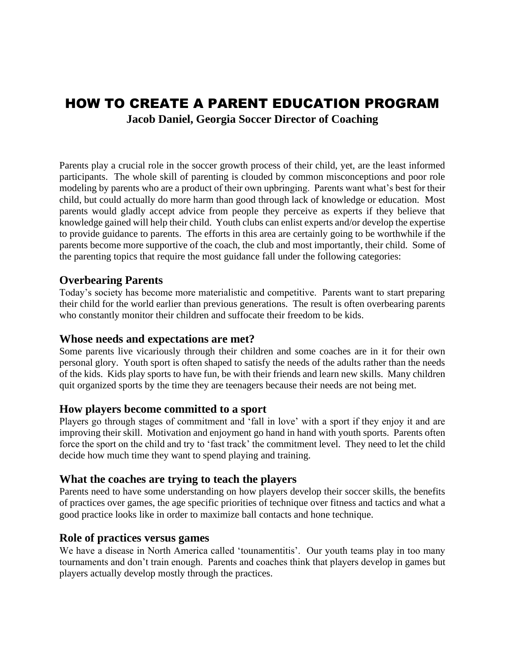# HOW TO CREATE A PARENT EDUCATION PROGRAM **Jacob Daniel, Georgia Soccer Director of Coaching**

Parents play a crucial role in the soccer growth process of their child, yet, are the least informed participants. The whole skill of parenting is clouded by common misconceptions and poor role modeling by parents who are a product of their own upbringing. Parents want what's best for their child, but could actually do more harm than good through lack of knowledge or education. Most parents would gladly accept advice from people they perceive as experts if they believe that knowledge gained will help their child. Youth clubs can enlist experts and/or develop the expertise to provide guidance to parents. The efforts in this area are certainly going to be worthwhile if the parents become more supportive of the coach, the club and most importantly, their child. Some of the parenting topics that require the most guidance fall under the following categories:

# **Overbearing Parents**

Today's society has become more materialistic and competitive. Parents want to start preparing their child for the world earlier than previous generations. The result is often overbearing parents who constantly monitor their children and suffocate their freedom to be kids.

#### **Whose needs and expectations are met?**

Some parents live vicariously through their children and some coaches are in it for their own personal glory. Youth sport is often shaped to satisfy the needs of the adults rather than the needs of the kids. Kids play sports to have fun, be with their friends and learn new skills. Many children quit organized sports by the time they are teenagers because their needs are not being met.

#### **How players become committed to a sport**

Players go through stages of commitment and 'fall in love' with a sport if they enjoy it and are improving their skill. Motivation and enjoyment go hand in hand with youth sports. Parents often force the sport on the child and try to 'fast track' the commitment level. They need to let the child decide how much time they want to spend playing and training.

#### **What the coaches are trying to teach the players**

Parents need to have some understanding on how players develop their soccer skills, the benefits of practices over games, the age specific priorities of technique over fitness and tactics and what a good practice looks like in order to maximize ball contacts and hone technique.

#### **Role of practices versus games**

We have a disease in North America called 'tounamentitis'. Our youth teams play in too many tournaments and don't train enough. Parents and coaches think that players develop in games but players actually develop mostly through the practices.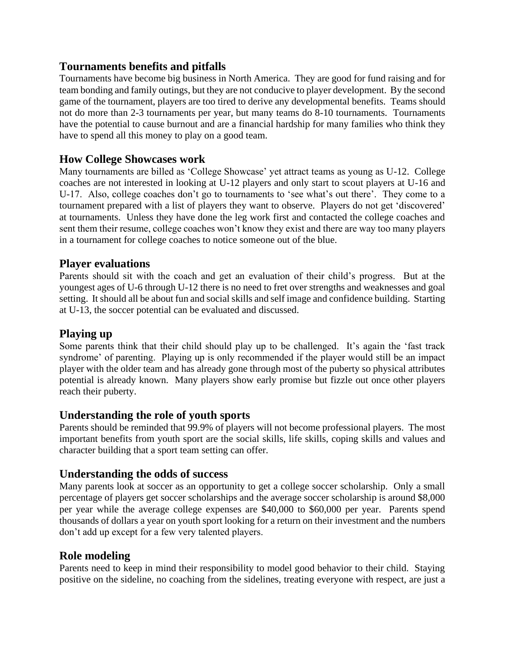#### **Tournaments benefits and pitfalls**

Tournaments have become big business in North America. They are good for fund raising and for team bonding and family outings, but they are not conducive to player development. By the second game of the tournament, players are too tired to derive any developmental benefits. Teams should not do more than 2-3 tournaments per year, but many teams do 8-10 tournaments. Tournaments have the potential to cause burnout and are a financial hardship for many families who think they have to spend all this money to play on a good team.

# **How College Showcases work**

Many tournaments are billed as 'College Showcase' yet attract teams as young as U-12. College coaches are not interested in looking at U-12 players and only start to scout players at U-16 and U-17. Also, college coaches don't go to tournaments to 'see what's out there'. They come to a tournament prepared with a list of players they want to observe. Players do not get 'discovered' at tournaments. Unless they have done the leg work first and contacted the college coaches and sent them their resume, college coaches won't know they exist and there are way too many players in a tournament for college coaches to notice someone out of the blue.

#### **Player evaluations**

Parents should sit with the coach and get an evaluation of their child's progress. But at the youngest ages of U-6 through U-12 there is no need to fret over strengths and weaknesses and goal setting. It should all be about fun and social skills and self image and confidence building. Starting at U-13, the soccer potential can be evaluated and discussed.

#### **Playing up**

Some parents think that their child should play up to be challenged. It's again the 'fast track syndrome' of parenting. Playing up is only recommended if the player would still be an impact player with the older team and has already gone through most of the puberty so physical attributes potential is already known. Many players show early promise but fizzle out once other players reach their puberty.

#### **Understanding the role of youth sports**

Parents should be reminded that 99.9% of players will not become professional players. The most important benefits from youth sport are the social skills, life skills, coping skills and values and character building that a sport team setting can offer.

#### **Understanding the odds of success**

Many parents look at soccer as an opportunity to get a college soccer scholarship. Only a small percentage of players get soccer scholarships and the average soccer scholarship is around \$8,000 per year while the average college expenses are \$40,000 to \$60,000 per year. Parents spend thousands of dollars a year on youth sport looking for a return on their investment and the numbers don't add up except for a few very talented players.

#### **Role modeling**

Parents need to keep in mind their responsibility to model good behavior to their child. Staying positive on the sideline, no coaching from the sidelines, treating everyone with respect, are just a